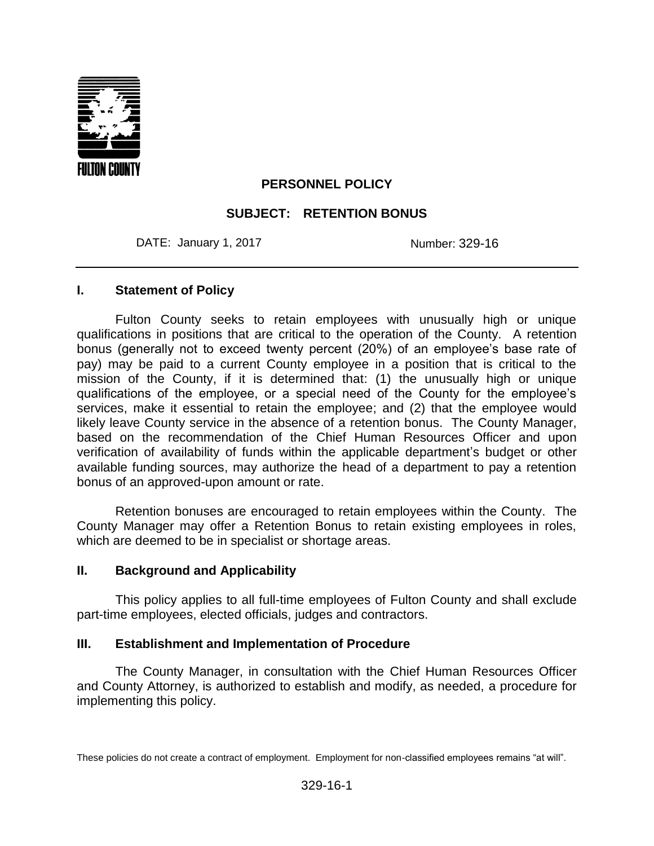

## **PERSONNEL POLICY**

### **SUBJECT: RETENTION BONUS**

DATE: January 1, 2017 **Number: 329-16** 

#### **I. Statement of Policy**

Fulton County seeks to retain employees with unusually high or unique qualifications in positions that are critical to the operation of the County. A retention bonus (generally not to exceed twenty percent (20%) of an employee's base rate of pay) may be paid to a current County employee in a position that is critical to the mission of the County, if it is determined that: (1) the unusually high or unique qualifications of the employee, or a special need of the County for the employee's services, make it essential to retain the employee; and (2) that the employee would likely leave County service in the absence of a retention bonus. The County Manager, based on the recommendation of the Chief Human Resources Officer and upon verification of availability of funds within the applicable department's budget or other available funding sources, may authorize the head of a department to pay a retention bonus of an approved-upon amount or rate.

Retention bonuses are encouraged to retain employees within the County. The County Manager may offer a Retention Bonus to retain existing employees in roles, which are deemed to be in specialist or shortage areas.

#### **II. Background and Applicability**

This policy applies to all full-time employees of Fulton County and shall exclude part-time employees, elected officials, judges and contractors.

#### **III. Establishment and Implementation of Procedure**

The County Manager, in consultation with the Chief Human Resources Officer and County Attorney, is authorized to establish and modify, as needed, a procedure for implementing this policy.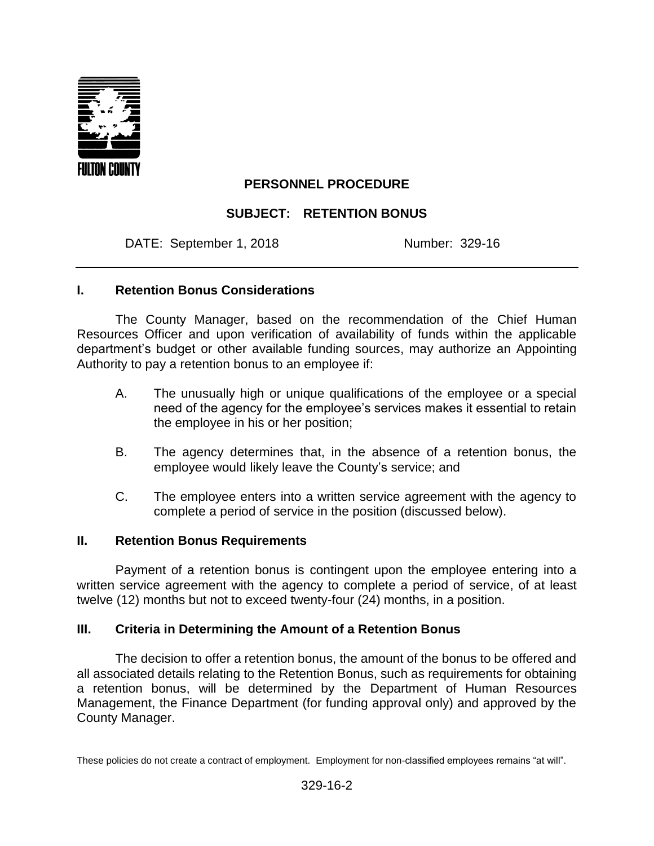

## **PERSONNEL PROCEDURE**

## **SUBJECT: RETENTION BONUS**

DATE: September 1, 2018 Number: 329-16

### **I. Retention Bonus Considerations**

The County Manager, based on the recommendation of the Chief Human Resources Officer and upon verification of availability of funds within the applicable department's budget or other available funding sources, may authorize an Appointing Authority to pay a retention bonus to an employee if:

- A. The unusually high or unique qualifications of the employee or a special need of the agency for the employee's services makes it essential to retain the employee in his or her position;
- B. The agency determines that, in the absence of a retention bonus, the employee would likely leave the County's service; and
- C. The employee enters into a written service agreement with the agency to complete a period of service in the position (discussed below).

### **II. Retention Bonus Requirements**

Payment of a retention bonus is contingent upon the employee entering into a written service agreement with the agency to complete a period of service, of at least twelve (12) months but not to exceed twenty-four (24) months, in a position.

## **III. Criteria in Determining the Amount of a Retention Bonus**

The decision to offer a retention bonus, the amount of the bonus to be offered and all associated details relating to the Retention Bonus, such as requirements for obtaining a retention bonus, will be determined by the Department of Human Resources Management, the Finance Department (for funding approval only) and approved by the County Manager.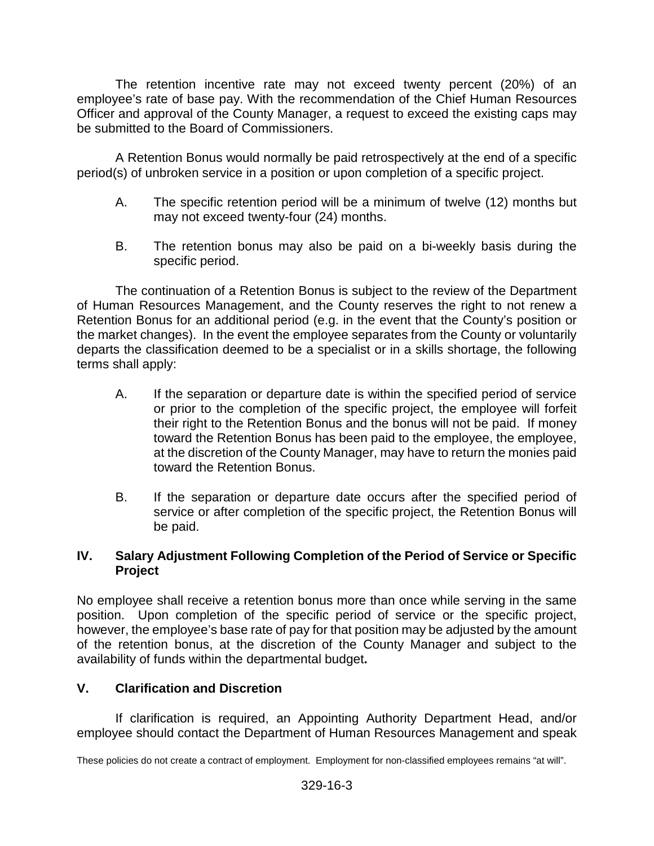The retention incentive rate may not exceed twenty percent (20%) of an employee's rate of base pay. With the recommendation of the Chief Human Resources Officer and approval of the County Manager, a request to exceed the existing caps may be submitted to the Board of Commissioners.

A Retention Bonus would normally be paid retrospectively at the end of a specific period(s) of unbroken service in a position or upon completion of a specific project.

- A. The specific retention period will be a minimum of twelve (12) months but may not exceed twenty-four (24) months.
- B. The retention bonus may also be paid on a bi-weekly basis during the specific period.

The continuation of a Retention Bonus is subject to the review of the Department of Human Resources Management, and the County reserves the right to not renew a Retention Bonus for an additional period (e.g. in the event that the County's position or the market changes). In the event the employee separates from the County or voluntarily departs the classification deemed to be a specialist or in a skills shortage, the following terms shall apply:

- A. If the separation or departure date is within the specified period of service or prior to the completion of the specific project, the employee will forfeit their right to the Retention Bonus and the bonus will not be paid. If money toward the Retention Bonus has been paid to the employee, the employee, at the discretion of the County Manager, may have to return the monies paid toward the Retention Bonus.
- B. If the separation or departure date occurs after the specified period of service or after completion of the specific project, the Retention Bonus will be paid.

## **IV. Salary Adjustment Following Completion of the Period of Service or Specific Project**

No employee shall receive a retention bonus more than once while serving in the same position. Upon completion of the specific period of service or the specific project, however, the employee's base rate of pay for that position may be adjusted by the amount of the retention bonus, at the discretion of the County Manager and subject to the availability of funds within the departmental budget**.**

# **V. Clarification and Discretion**

If clarification is required, an Appointing Authority Department Head, and/or employee should contact the Department of Human Resources Management and speak